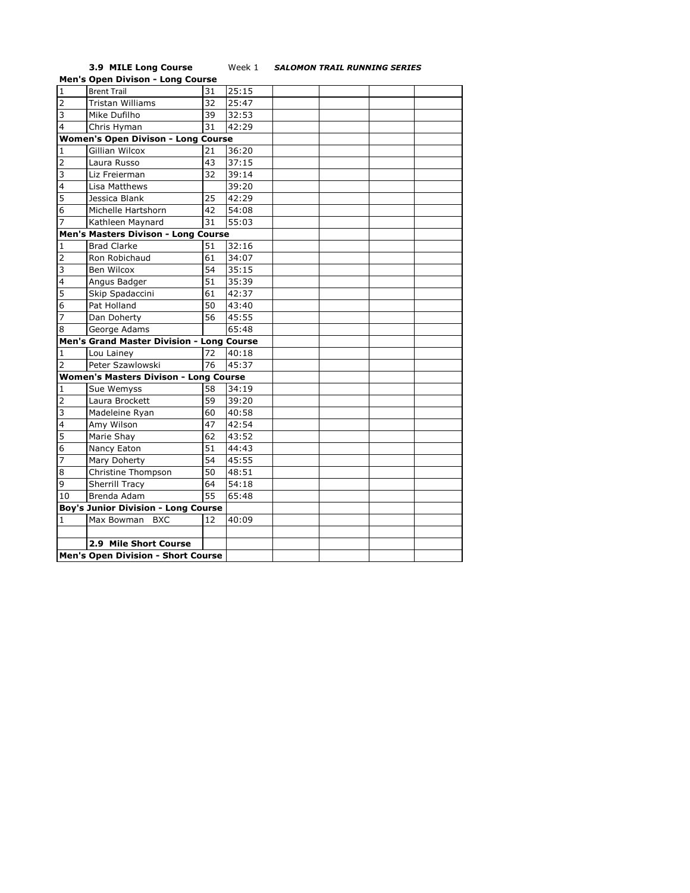## **3.9 MILE Long Course** Week 1 *SALOMON TRAIL RUNNING SERIES*

|                         | <b>Men's Open Divison - Long Course</b>      |    |       |  |  |  |  |
|-------------------------|----------------------------------------------|----|-------|--|--|--|--|
| $\mathbf{1}$            | <b>Brent Trail</b>                           | 31 | 25:15 |  |  |  |  |
| $\overline{2}$          | Tristan Williams                             | 32 | 25:47 |  |  |  |  |
| 3                       | Mike Dufilho                                 | 39 | 32:53 |  |  |  |  |
| $\overline{4}$          | Chris Hyman                                  | 31 | 42:29 |  |  |  |  |
|                         | <b>Women's Open Divison - Long Course</b>    |    |       |  |  |  |  |
| $\mathbf{1}$            | Gillian Wilcox                               | 21 | 36:20 |  |  |  |  |
| $\overline{2}$          | Laura Russo                                  | 43 | 37:15 |  |  |  |  |
| 3                       | Liz Freierman                                | 32 | 39:14 |  |  |  |  |
| $\overline{4}$          | Lisa Matthews                                |    | 39:20 |  |  |  |  |
| 5                       | Jessica Blank                                | 25 | 42:29 |  |  |  |  |
| 6                       | Michelle Hartshorn                           | 42 | 54:08 |  |  |  |  |
| $\overline{7}$          | Kathleen Maynard                             | 31 | 55:03 |  |  |  |  |
|                         | Men's Masters Divison - Long Course          |    |       |  |  |  |  |
| $\mathbf{1}$            | <b>Brad Clarke</b>                           | 51 | 32:16 |  |  |  |  |
| $\overline{2}$          | Ron Robichaud                                | 61 | 34:07 |  |  |  |  |
| $\overline{3}$          | Ben Wilcox                                   | 54 | 35:15 |  |  |  |  |
| $\overline{\mathbf{4}}$ | Angus Badger                                 | 51 | 35:39 |  |  |  |  |
| 5                       | Skip Spadaccini                              | 61 | 42:37 |  |  |  |  |
| 6                       | Pat Holland                                  | 50 | 43:40 |  |  |  |  |
| $\overline{7}$          | Dan Doherty                                  | 56 | 45:55 |  |  |  |  |
| 8                       | George Adams                                 |    | 65:48 |  |  |  |  |
|                         | Men's Grand Master Division - Long Course    |    |       |  |  |  |  |
| 1                       | Lou Lainey                                   | 72 | 40:18 |  |  |  |  |
| $\overline{2}$          | Peter Szawlowski                             | 76 | 45:37 |  |  |  |  |
|                         | <b>Women's Masters Divison - Long Course</b> |    |       |  |  |  |  |
| 1                       | Sue Wemyss                                   | 58 | 34:19 |  |  |  |  |
| $\overline{2}$          | Laura Brockett                               | 59 | 39:20 |  |  |  |  |
| 3                       | Madeleine Ryan                               | 60 | 40:58 |  |  |  |  |
| 4                       | Amy Wilson                                   | 47 | 42:54 |  |  |  |  |
| 5                       | Marie Shay                                   | 62 | 43:52 |  |  |  |  |
| 6                       | Nancy Eaton                                  | 51 | 44:43 |  |  |  |  |
| $\overline{7}$          | Mary Doherty                                 | 54 | 45:55 |  |  |  |  |
| 8                       | Christine Thompson                           | 50 | 48:51 |  |  |  |  |
| 9                       | <b>Sherrill Tracy</b>                        | 64 | 54:18 |  |  |  |  |
| 10                      | Brenda Adam                                  | 55 | 65:48 |  |  |  |  |
|                         | <b>Boy's Junior Division - Long Course</b>   |    |       |  |  |  |  |
| 1                       | Max Bowman<br><b>BXC</b>                     | 12 | 40:09 |  |  |  |  |
|                         |                                              |    |       |  |  |  |  |
|                         | 2.9 Mile Short Course                        |    |       |  |  |  |  |
|                         | Men's Open Division - Short Course           |    |       |  |  |  |  |